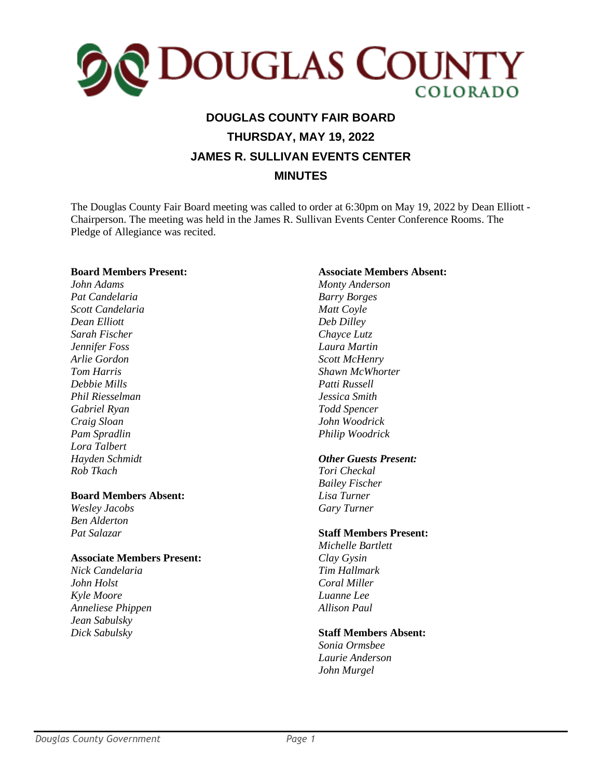

# **DOUGLAS COUNTY FAIR BOARD THURSDAY, MAY 19, 2022 JAMES R. SULLIVAN EVENTS CENTER MINUTES**

 The Douglas County Fair Board meeting was called to order at 6:30pm on May 19, 2022 by Dean Elliott - Chairperson. The meeting was held in the James R. Sullivan Events Center Conference Rooms. The Pledge of Allegiance was recited.

#### **Board Members Present:**

*John Adams Pat Candelaria Scott Candelaria Dean Elliott Sarah Fischer Jennifer Foss Arlie Gordon Tom Harris Debbie Mills Phil Riesselman Gabriel Ryan Craig Sloan Pam Spradlin Lora Talbert Hayden Schmidt Rob Tkach*

#### **Board Members Absent:**

*Wesley Jacobs Ben Alderton Pat Salazar*

#### **Associate Members Present:**

*Nick Candelaria John Holst Kyle Moore Anneliese Phippen Jean Sabulsky Dick Sabulsky*

#### **Associate Members Absent:**

*Monty Anderson Barry Borges Matt Coyle Deb Dilley Chayce Lutz Laura Martin Scott McHenry Shawn McWhorter Patti Russell Jessica Smith Todd Spencer John Woodrick Philip Woodrick*

#### *Other Guests Present:*

*Tori Checkal Bailey Fischer Lisa Turner Gary Turner*

#### **Staff Members Present:**

*Michelle Bartlett Clay Gysin Tim Hallmark Coral Miller Luanne Lee Allison Paul*

#### **Staff Members Absent:**

*Sonia Ormsbee Laurie Anderson John Murgel*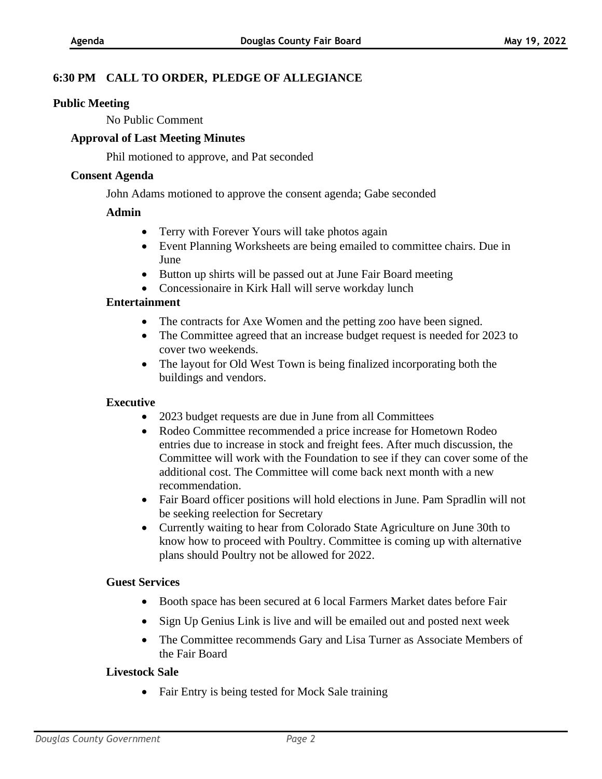# **6:30 PM CALL TO ORDER, PLEDGE OF ALLEGIANCE**

#### **Public Meeting**

No Public Comment

## **Approval of Last Meeting Minutes**

Phil motioned to approve, and Pat seconded

#### **Consent Agenda**

John Adams motioned to approve the consent agenda; Gabe seconded

## **Admin**

- Terry with Forever Yours will take photos again
- Event Planning Worksheets are being emailed to committee chairs. Due in June
- Button up shirts will be passed out at June Fair Board meeting
- Concessionaire in Kirk Hall will serve workday lunch

## **Entertainment**

- The contracts for Axe Women and the petting zoo have been signed.
- The Committee agreed that an increase budget request is needed for 2023 to cover two weekends.
- The layout for Old West Town is being finalized incorporating both the buildings and vendors.

#### **Executive**

- 2023 budget requests are due in June from all Committees
- Rodeo Committee recommended a price increase for Hometown Rodeo entries due to increase in stock and freight fees. After much discussion, the Committee will work with the Foundation to see if they can cover some of the additional cost. The Committee will come back next month with a new recommendation.
- Fair Board officer positions will hold elections in June. Pam Spradlin will not be seeking reelection for Secretary
- Currently waiting to hear from Colorado State Agriculture on June 30th to know how to proceed with Poultry. Committee is coming up with alternative plans should Poultry not be allowed for 2022.

#### **Guest Services**

- Booth space has been secured at 6 local Farmers Market dates before Fair
- Sign Up Genius Link is live and will be emailed out and posted next week
- The Committee recommends Gary and Lisa Turner as Associate Members of the Fair Board

#### **Livestock Sale**

• Fair Entry is being tested for Mock Sale training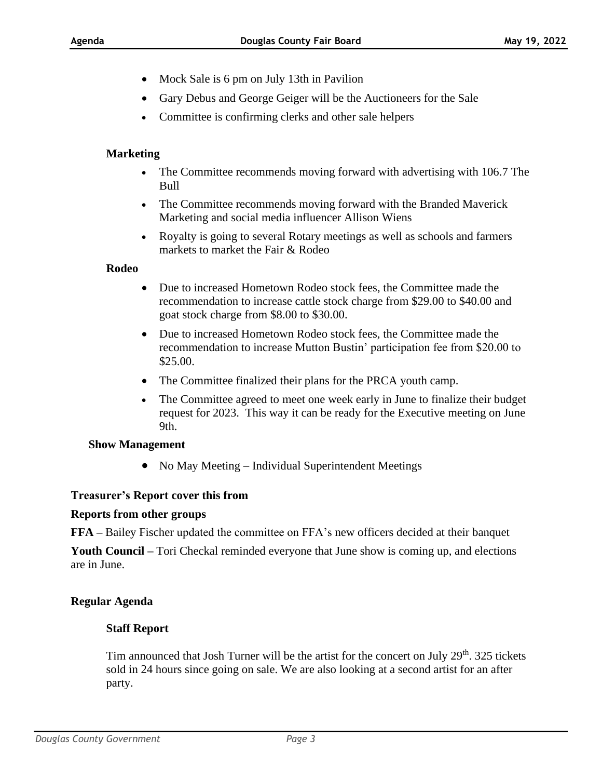- Mock Sale is 6 pm on July 13th in Pavilion
- Gary Debus and George Geiger will be the Auctioneers for the Sale
- Committee is confirming clerks and other sale helpers

## **Marketing**

- The Committee recommends moving forward with advertising with 106.7 The Bull
- The Committee recommends moving forward with the Branded Maverick Marketing and social media influencer Allison Wiens
- Royalty is going to several Rotary meetings as well as schools and farmers markets to market the Fair & Rodeo

#### **Rodeo**

- Due to increased Hometown Rodeo stock fees, the Committee made the recommendation to increase cattle stock charge from \$29.00 to \$40.00 and goat stock charge from \$8.00 to \$30.00.
- Due to increased Hometown Rodeo stock fees, the Committee made the recommendation to increase Mutton Bustin' participation fee from \$20.00 to \$25.00.
- The Committee finalized their plans for the PRCA youth camp.
- The Committee agreed to meet one week early in June to finalize their budget request for 2023. This way it can be ready for the Executive meeting on June 9th.

#### **Show Management**

• No May Meeting – Individual Superintendent Meetings

#### **Treasurer's Report cover this from**

#### **Reports from other groups**

**FFA –** Bailey Fischer updated the committee on FFA's new officers decided at their banquet

**Youth Council –** Tori Checkal reminded everyone that June show is coming up, and elections are in June.

#### **Regular Agenda**

#### **Staff Report**

Tim announced that Josh Turner will be the artist for the concert on July 29<sup>th</sup>. 325 tickets sold in 24 hours since going on sale. We are also looking at a second artist for an after party.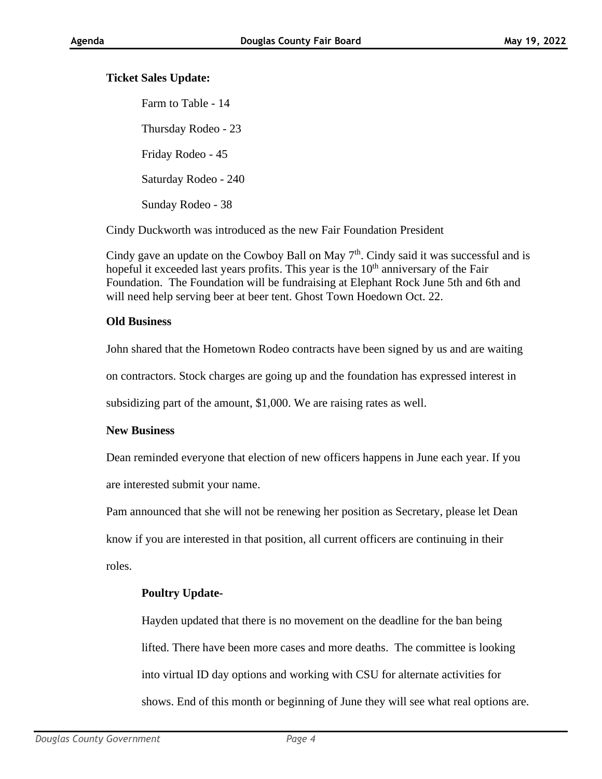# **Ticket Sales Update:**

Farm to Table - 14 Thursday Rodeo - 23 Friday Rodeo - 45 Saturday Rodeo - 240 Sunday Rodeo - 38

Cindy Duckworth was introduced as the new Fair Foundation President

Cindy gave an update on the Cowboy Ball on May  $7<sup>th</sup>$ . Cindy said it was successful and is hopeful it exceeded last years profits. This year is the 10<sup>th</sup> anniversary of the Fair Foundation. The Foundation will be fundraising at Elephant Rock June 5th and 6th and will need help serving beer at beer tent. Ghost Town Hoedown Oct. 22.

## **Old Business**

John shared that the Hometown Rodeo contracts have been signed by us and are waiting

on contractors. Stock charges are going up and the foundation has expressed interest in

subsidizing part of the amount, \$1,000. We are raising rates as well.

# **New Business**

Dean reminded everyone that election of new officers happens in June each year. If you are interested submit your name.

Pam announced that she will not be renewing her position as Secretary, please let Dean

know if you are interested in that position, all current officers are continuing in their

roles.

# **Poultry Update-**

Hayden updated that there is no movement on the deadline for the ban being lifted. There have been more cases and more deaths. The committee is looking into virtual ID day options and working with CSU for alternate activities for shows. End of this month or beginning of June they will see what real options are.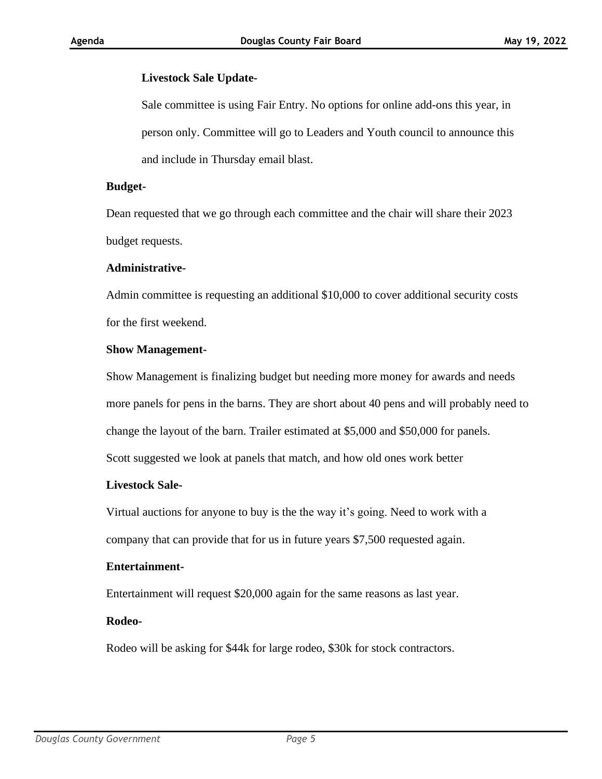## **Livestock Sale Update-**

Sale committee is using Fair Entry. No options for online add-ons this year, in person only. Committee will go to Leaders and Youth council to announce this and include in Thursday email blast.

#### **Budget-**

Dean requested that we go through each committee and the chair will share their 2023 budget requests.

#### **Administrative-**

Admin committee is requesting an additional \$10,000 to cover additional security costs for the first weekend.

#### **Show Management-**

Show Management is finalizing budget but needing more money for awards and needs more panels for pens in the barns. They are short about 40 pens and will probably need to change the layout of the barn. Trailer estimated at \$5,000 and \$50,000 for panels. Scott suggested we look at panels that match, and how old ones work better

#### **Livestock Sale-**

Virtual auctions for anyone to buy is the the way it's going. Need to work with a

company that can provide that for us in future years \$7,500 requested again.

#### **Entertainment-**

Entertainment will request \$20,000 again for the same reasons as last year.

# **Rodeo-**

Rodeo will be asking for \$44k for large rodeo, \$30k for stock contractors.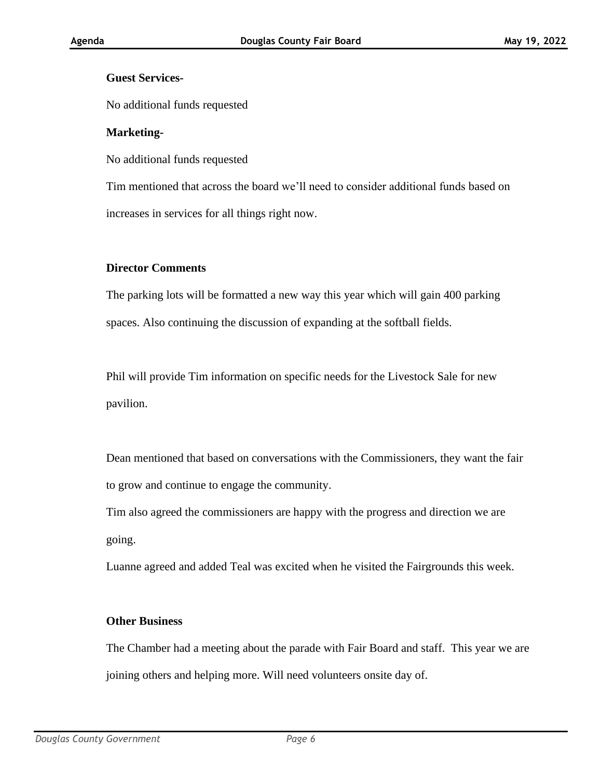# **Guest Services-**

No additional funds requested

## **Marketing-**

No additional funds requested

Tim mentioned that across the board we'll need to consider additional funds based on increases in services for all things right now.

## **Director Comments**

The parking lots will be formatted a new way this year which will gain 400 parking spaces. Also continuing the discussion of expanding at the softball fields.

Phil will provide Tim information on specific needs for the Livestock Sale for new pavilion.

Dean mentioned that based on conversations with the Commissioners, they want the fair to grow and continue to engage the community.

Tim also agreed the commissioners are happy with the progress and direction we are going.

Luanne agreed and added Teal was excited when he visited the Fairgrounds this week.

#### **Other Business**

The Chamber had a meeting about the parade with Fair Board and staff. This year we are joining others and helping more. Will need volunteers onsite day of.